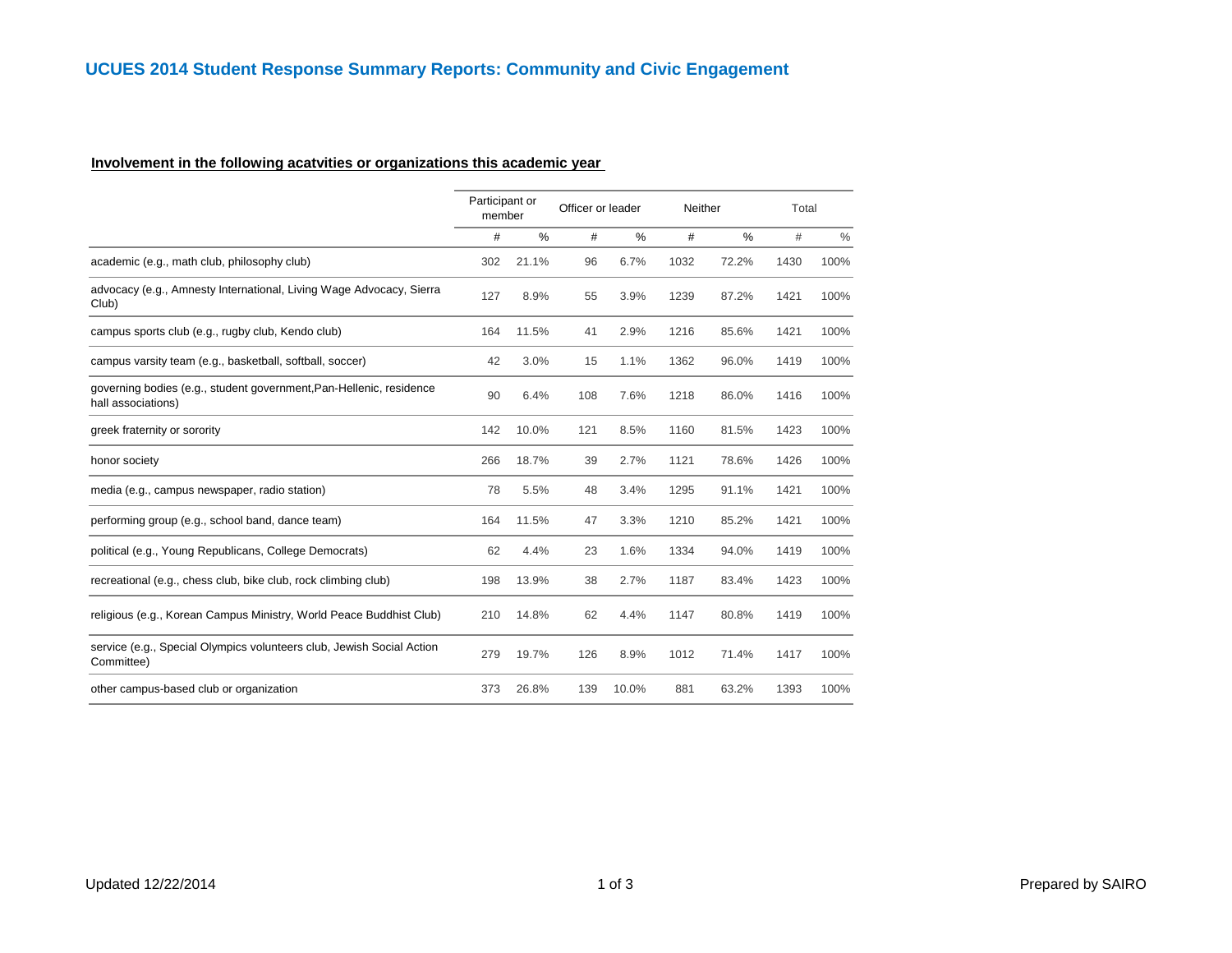## **Involvement in the following acatvities or organizations this academic year**

|                                                                                           |     | Participant or<br>Officer or leader<br>member |     |       | Neither |       | Total |      |
|-------------------------------------------------------------------------------------------|-----|-----------------------------------------------|-----|-------|---------|-------|-------|------|
|                                                                                           | #   | $\%$                                          | #   | %     | #       | %     | #     | $\%$ |
| academic (e.g., math club, philosophy club)                                               | 302 | 21.1%                                         | 96  | 6.7%  | 1032    | 72.2% | 1430  | 100% |
| advocacy (e.g., Amnesty International, Living Wage Advocacy, Sierra<br>Club)              | 127 | 8.9%                                          | 55  | 3.9%  | 1239    | 87.2% | 1421  | 100% |
| campus sports club (e.g., rugby club, Kendo club)                                         | 164 | 11.5%                                         | 41  | 2.9%  | 1216    | 85.6% | 1421  | 100% |
| campus varsity team (e.g., basketball, softball, soccer)                                  | 42  | 3.0%                                          | 15  | 1.1%  | 1362    | 96.0% | 1419  | 100% |
| governing bodies (e.g., student government, Pan-Hellenic, residence<br>hall associations) | 90  | 6.4%                                          | 108 | 7.6%  | 1218    | 86.0% | 1416  | 100% |
| greek fraternity or sorority                                                              | 142 | 10.0%                                         | 121 | 8.5%  | 1160    | 81.5% | 1423  | 100% |
| honor society                                                                             | 266 | 18.7%                                         | 39  | 2.7%  | 1121    | 78.6% | 1426  | 100% |
| media (e.g., campus newspaper, radio station)                                             | 78  | 5.5%                                          | 48  | 3.4%  | 1295    | 91.1% | 1421  | 100% |
| performing group (e.g., school band, dance team)                                          | 164 | 11.5%                                         | 47  | 3.3%  | 1210    | 85.2% | 1421  | 100% |
| political (e.g., Young Republicans, College Democrats)                                    | 62  | 4.4%                                          | 23  | 1.6%  | 1334    | 94.0% | 1419  | 100% |
| recreational (e.g., chess club, bike club, rock climbing club)                            | 198 | 13.9%                                         | 38  | 2.7%  | 1187    | 83.4% | 1423  | 100% |
| religious (e.g., Korean Campus Ministry, World Peace Buddhist Club)                       | 210 | 14.8%                                         | 62  | 4.4%  | 1147    | 80.8% | 1419  | 100% |
| service (e.g., Special Olympics volunteers club, Jewish Social Action<br>Committee)       | 279 | 19.7%                                         | 126 | 8.9%  | 1012    | 71.4% | 1417  | 100% |
| other campus-based club or organization                                                   | 373 | 26.8%                                         | 139 | 10.0% | 881     | 63.2% | 1393  | 100% |
|                                                                                           |     |                                               |     |       |         |       |       |      |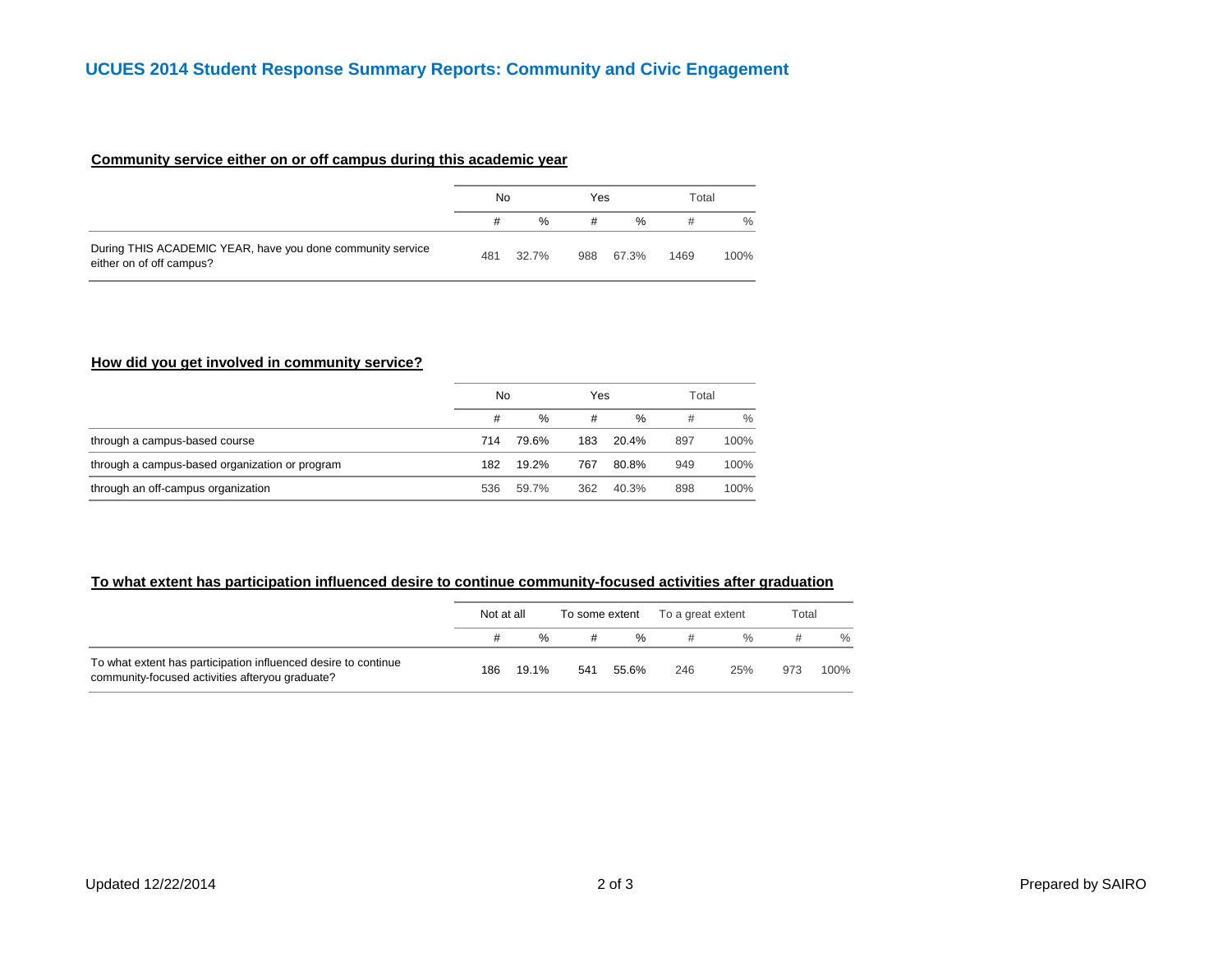### **Community service either on or off campus during this academic year**

|                                                                                        | No  |       | Yes |       | Total |      |  |
|----------------------------------------------------------------------------------------|-----|-------|-----|-------|-------|------|--|
|                                                                                        |     | $\%$  | #   | $\%$  | #     | $\%$ |  |
| During THIS ACADEMIC YEAR, have you done community service<br>either on of off campus? | 481 | 32.7% | 988 | 67.3% | 1469  | 100% |  |

### **How did you get involved in community service?**

|                                                | No  |       | Yes |       | Total |      |
|------------------------------------------------|-----|-------|-----|-------|-------|------|
|                                                | #   | $\%$  | #   | %     | #     | $\%$ |
| through a campus-based course                  | 714 | 79.6% | 183 | 20.4% | 897   | 100% |
| through a campus-based organization or program | 182 | 19.2% | 767 | 80.8% | 949   | 100% |
| through an off-campus organization             | 536 | 59.7% | 362 | 40.3% | 898   | 100% |

# **To what extent has participation influenced desire to continue community-focused activities after graduation**

|                                                                                                                   | Not at all |               | To some extent |       | To a great extent |               | Total |      |  |
|-------------------------------------------------------------------------------------------------------------------|------------|---------------|----------------|-------|-------------------|---------------|-------|------|--|
|                                                                                                                   |            | $\frac{0}{0}$ |                | %     |                   | $\frac{0}{6}$ |       | $\%$ |  |
| To what extent has participation influenced desire to continue<br>community-focused activities afteryou graduate? | 186        | 19.1%         | 541            | 55.6% | 246               | 25%           | 973   | 100% |  |